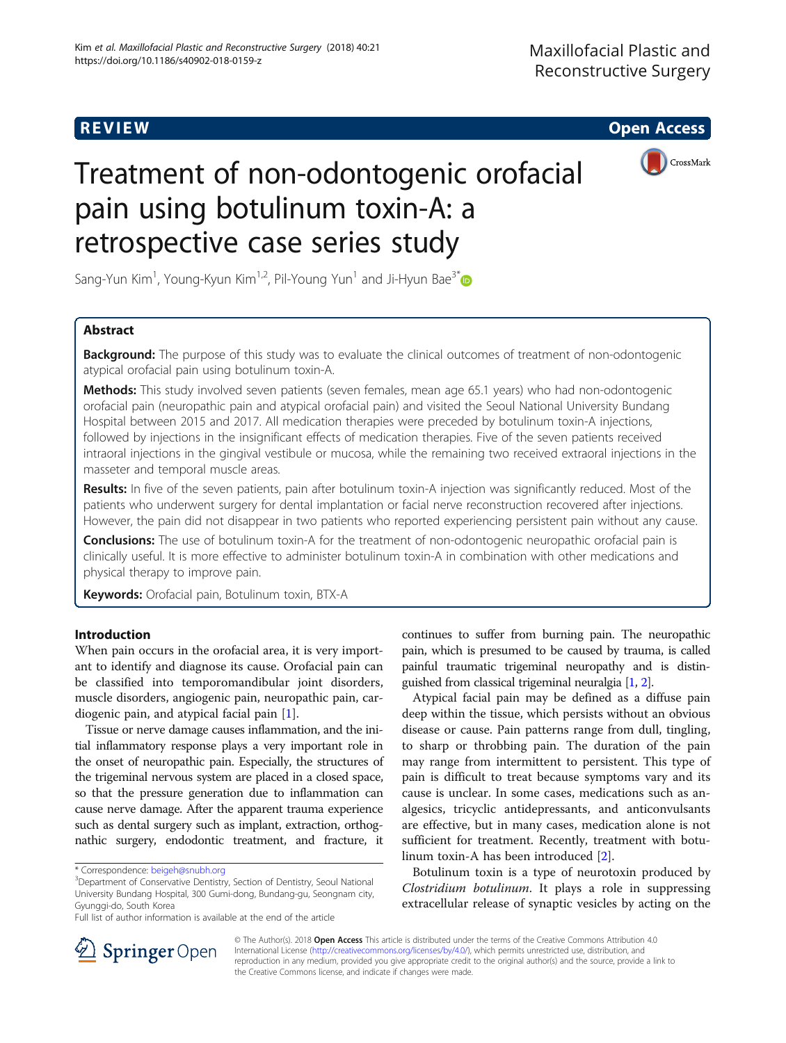**REVIEW ACCESS AND LOCAL CONTRACT CONTRACT OF ACCESS** 



# Treatment of non-odontogenic orofacial pain using botulinum toxin-A: a retrospective case series study

Sang-Yun Kim<sup>1</sup>, Young-Kyun Kim<sup>1,2</sup>, Pil-Young Yun<sup>1</sup> and Ji-Hyun Bae<sup>3[\\*](http://orcid.org/0000-0002-5486-2517)</sup>

# Abstract

**Background:** The purpose of this study was to evaluate the clinical outcomes of treatment of non-odontogenic atypical orofacial pain using botulinum toxin-A.

Methods: This study involved seven patients (seven females, mean age 65.1 years) who had non-odontogenic orofacial pain (neuropathic pain and atypical orofacial pain) and visited the Seoul National University Bundang Hospital between 2015 and 2017. All medication therapies were preceded by botulinum toxin-A injections, followed by injections in the insignificant effects of medication therapies. Five of the seven patients received intraoral injections in the gingival vestibule or mucosa, while the remaining two received extraoral injections in the masseter and temporal muscle areas.

Results: In five of the seven patients, pain after botulinum toxin-A injection was significantly reduced. Most of the patients who underwent surgery for dental implantation or facial nerve reconstruction recovered after injections. However, the pain did not disappear in two patients who reported experiencing persistent pain without any cause.

**Conclusions:** The use of botulinum toxin-A for the treatment of non-odontogenic neuropathic orofacial pain is clinically useful. It is more effective to administer botulinum toxin-A in combination with other medications and physical therapy to improve pain.

Keywords: Orofacial pain, Botulinum toxin, BTX-A

# Introduction

When pain occurs in the orofacial area, it is very important to identify and diagnose its cause. Orofacial pain can be classified into temporomandibular joint disorders, muscle disorders, angiogenic pain, neuropathic pain, cardiogenic pain, and atypical facial pain [\[1](#page-4-0)].

Tissue or nerve damage causes inflammation, and the initial inflammatory response plays a very important role in the onset of neuropathic pain. Especially, the structures of the trigeminal nervous system are placed in a closed space, so that the pressure generation due to inflammation can cause nerve damage. After the apparent trauma experience such as dental surgery such as implant, extraction, orthognathic surgery, endodontic treatment, and fracture, it

continues to suffer from burning pain. The neuropathic pain, which is presumed to be caused by trauma, is called painful traumatic trigeminal neuropathy and is distinguished from classical trigeminal neuralgia [[1](#page-4-0), [2\]](#page-4-0).

Atypical facial pain may be defined as a diffuse pain deep within the tissue, which persists without an obvious disease or cause. Pain patterns range from dull, tingling, to sharp or throbbing pain. The duration of the pain may range from intermittent to persistent. This type of pain is difficult to treat because symptoms vary and its cause is unclear. In some cases, medications such as analgesics, tricyclic antidepressants, and anticonvulsants are effective, but in many cases, medication alone is not sufficient for treatment. Recently, treatment with botulinum toxin-A has been introduced [[2\]](#page-4-0).

Botulinum toxin is a type of neurotoxin produced by Clostridium botulinum. It plays a role in suppressing extracellular release of synaptic vesicles by acting on the



© The Author(s). 2018 Open Access This article is distributed under the terms of the Creative Commons Attribution 4.0 International License ([http://creativecommons.org/licenses/by/4.0/\)](http://creativecommons.org/licenses/by/4.0/), which permits unrestricted use, distribution, and reproduction in any medium, provided you give appropriate credit to the original author(s) and the source, provide a link to the Creative Commons license, and indicate if changes were made.

<sup>\*</sup> Correspondence: [beigeh@snubh.org](mailto:beigeh@snubh.org) <sup>3</sup>

<sup>&</sup>lt;sup>3</sup>Department of Conservative Dentistry, Section of Dentistry, Seoul National University Bundang Hospital, 300 Gumi-dong, Bundang-gu, Seongnam city, Gyunggi-do, South Korea

Full list of author information is available at the end of the article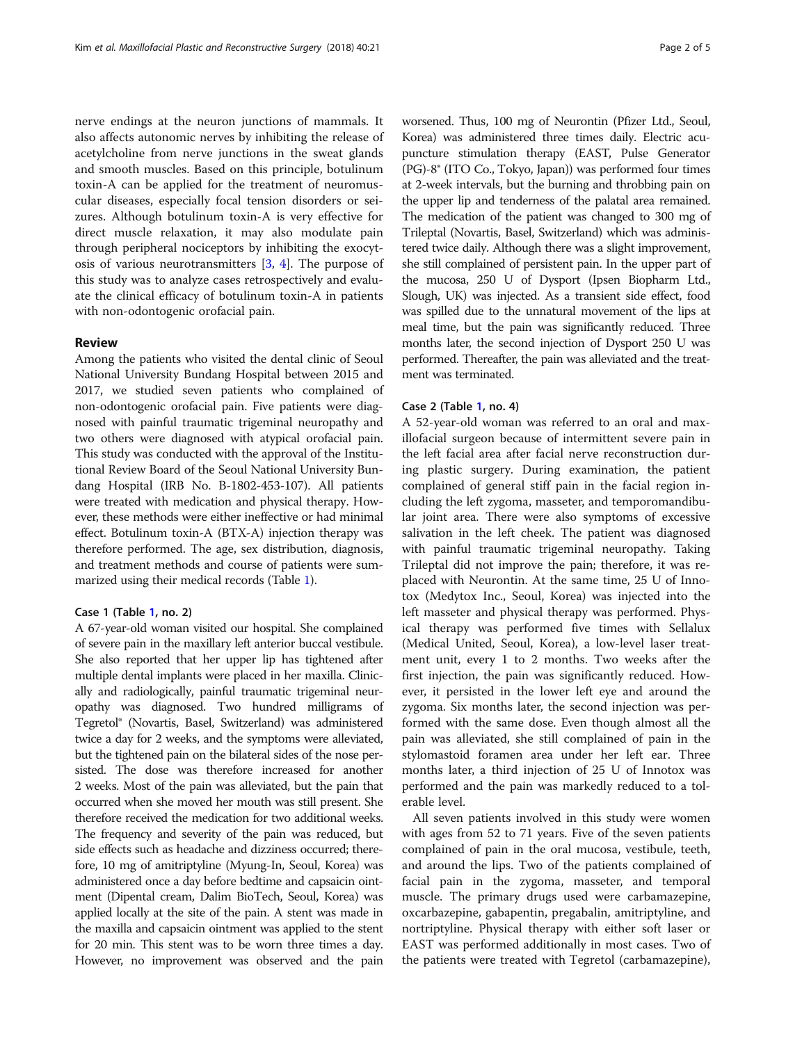nerve endings at the neuron junctions of mammals. It also affects autonomic nerves by inhibiting the release of acetylcholine from nerve junctions in the sweat glands and smooth muscles. Based on this principle, botulinum toxin-A can be applied for the treatment of neuromuscular diseases, especially focal tension disorders or seizures. Although botulinum toxin-A is very effective for direct muscle relaxation, it may also modulate pain through peripheral nociceptors by inhibiting the exocytosis of various neurotransmitters [\[3](#page-4-0), [4\]](#page-4-0). The purpose of this study was to analyze cases retrospectively and evaluate the clinical efficacy of botulinum toxin-A in patients with non-odontogenic orofacial pain.

# Review

Among the patients who visited the dental clinic of Seoul National University Bundang Hospital between 2015 and 2017, we studied seven patients who complained of non-odontogenic orofacial pain. Five patients were diagnosed with painful traumatic trigeminal neuropathy and two others were diagnosed with atypical orofacial pain. This study was conducted with the approval of the Institutional Review Board of the Seoul National University Bundang Hospital (IRB No. B-1802-453-107). All patients were treated with medication and physical therapy. However, these methods were either ineffective or had minimal effect. Botulinum toxin-A (BTX-A) injection therapy was therefore performed. The age, sex distribution, diagnosis, and treatment methods and course of patients were summarized using their medical records (Table [1](#page-2-0)).

## Case 1 (Table [1,](#page-2-0) no. 2)

A 67-year-old woman visited our hospital. She complained of severe pain in the maxillary left anterior buccal vestibule. She also reported that her upper lip has tightened after multiple dental implants were placed in her maxilla. Clinically and radiologically, painful traumatic trigeminal neuropathy was diagnosed. Two hundred milligrams of Tegretol® (Novartis, Basel, Switzerland) was administered twice a day for 2 weeks, and the symptoms were alleviated, but the tightened pain on the bilateral sides of the nose persisted. The dose was therefore increased for another 2 weeks. Most of the pain was alleviated, but the pain that occurred when she moved her mouth was still present. She therefore received the medication for two additional weeks. The frequency and severity of the pain was reduced, but side effects such as headache and dizziness occurred; therefore, 10 mg of amitriptyline (Myung-In, Seoul, Korea) was administered once a day before bedtime and capsaicin ointment (Dipental cream, Dalim BioTech, Seoul, Korea) was applied locally at the site of the pain. A stent was made in the maxilla and capsaicin ointment was applied to the stent for 20 min. This stent was to be worn three times a day. However, no improvement was observed and the pain worsened. Thus, 100 mg of Neurontin (Pfizer Ltd., Seoul, Korea) was administered three times daily. Electric acupuncture stimulation therapy (EAST, Pulse Generator (PG)-8® (ITO Co., Tokyo, Japan)) was performed four times at 2-week intervals, but the burning and throbbing pain on the upper lip and tenderness of the palatal area remained. The medication of the patient was changed to 300 mg of Trileptal (Novartis, Basel, Switzerland) which was administered twice daily. Although there was a slight improvement, she still complained of persistent pain. In the upper part of the mucosa, 250 U of Dysport (Ipsen Biopharm Ltd., Slough, UK) was injected. As a transient side effect, food was spilled due to the unnatural movement of the lips at meal time, but the pain was significantly reduced. Three months later, the second injection of Dysport 250 U was performed. Thereafter, the pain was alleviated and the treatment was terminated.

# Case 2 (Table [1,](#page-2-0) no. 4)

A 52-year-old woman was referred to an oral and maxillofacial surgeon because of intermittent severe pain in the left facial area after facial nerve reconstruction during plastic surgery. During examination, the patient complained of general stiff pain in the facial region including the left zygoma, masseter, and temporomandibular joint area. There were also symptoms of excessive salivation in the left cheek. The patient was diagnosed with painful traumatic trigeminal neuropathy. Taking Trileptal did not improve the pain; therefore, it was replaced with Neurontin. At the same time, 25 U of Innotox (Medytox Inc., Seoul, Korea) was injected into the left masseter and physical therapy was performed. Physical therapy was performed five times with Sellalux (Medical United, Seoul, Korea), a low-level laser treatment unit, every 1 to 2 months. Two weeks after the first injection, the pain was significantly reduced. However, it persisted in the lower left eye and around the zygoma. Six months later, the second injection was performed with the same dose. Even though almost all the pain was alleviated, she still complained of pain in the stylomastoid foramen area under her left ear. Three months later, a third injection of 25 U of Innotox was performed and the pain was markedly reduced to a tolerable level.

All seven patients involved in this study were women with ages from 52 to 71 years. Five of the seven patients complained of pain in the oral mucosa, vestibule, teeth, and around the lips. Two of the patients complained of facial pain in the zygoma, masseter, and temporal muscle. The primary drugs used were carbamazepine, oxcarbazepine, gabapentin, pregabalin, amitriptyline, and nortriptyline. Physical therapy with either soft laser or EAST was performed additionally in most cases. Two of the patients were treated with Tegretol (carbamazepine),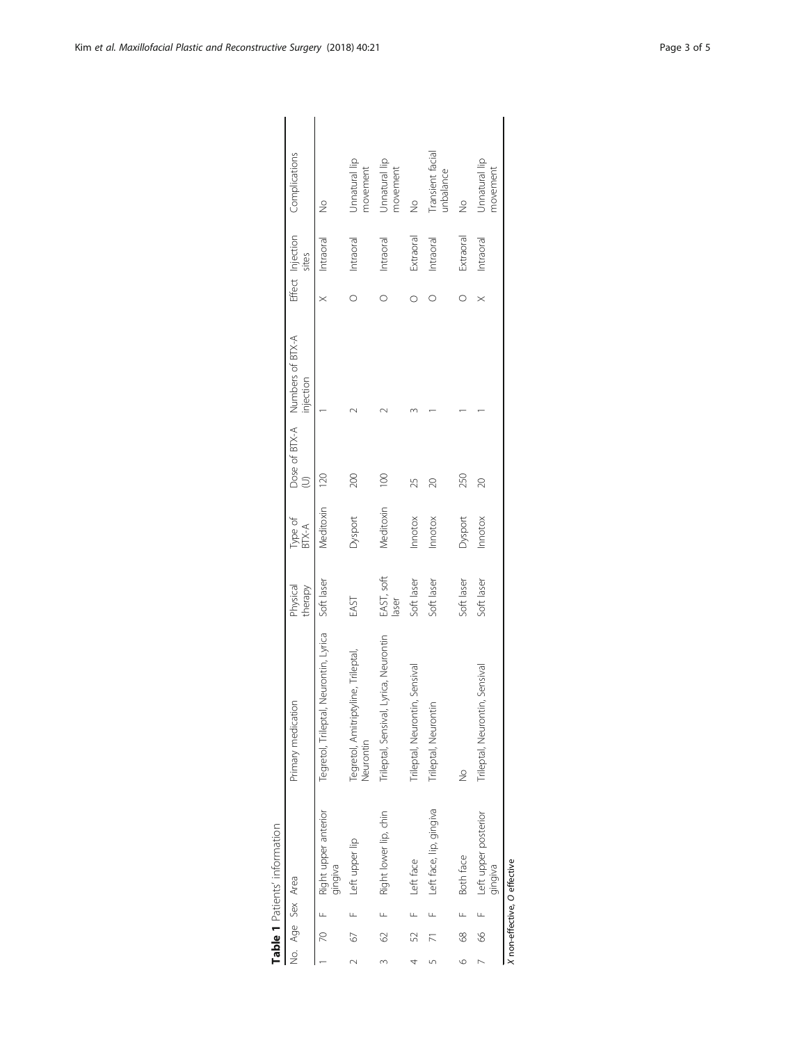|                |      |               | Table 1 Patients' information        |                                                  |                     |                  |             |                                             |          |           |                                |
|----------------|------|---------------|--------------------------------------|--------------------------------------------------|---------------------|------------------|-------------|---------------------------------------------|----------|-----------|--------------------------------|
|                |      |               | No. Age Sex Area                     | Primary medication                               | therapy<br>Physical | Type of<br>BTX-A | $\supseteq$ | Dose of BTX-A Numbers of BTX-A<br>injection |          | sites     | Effect Injection Complications |
|                |      |               | 70 F Right upper anterior<br>gingiva | Neurontin, Lyrica<br>Tegretol, Trileptal,        | Soft laser          | Vieditoxin       | 120         |                                             |          | Intraoral | $\frac{0}{2}$                  |
| $\sim$         | 67   |               | Left upper lip                       | Tegretol, Amitriptyline, Trileptal,<br>Neurontin | EAST                | Dysport          | 200         |                                             |          | Intraoral | Jnnatural lip<br>movement      |
| $\infty$       | 62 F |               | Right lower lip, chin                | Trileptal, Sensival, Lyrica, Neurontin           | EAST, soft<br>laser | Meditoxin        | $\approx$   |                                             |          | Intraoral | Unnatural lip<br>movement      |
| 4              |      |               | 52 F Left face                       | Trileptal, Neurontin, Sensival                   | Soft laser          | Innotox          | 25          |                                             |          | Extraoral | $\frac{1}{2}$                  |
| 5              |      | $\frac{1}{2}$ | Left face, lip, gingiva              | Trileptal, Neurontin                             | Soft laser          | Innotox          | $\approx$   |                                             |          | Intraoral | Transient facial<br>unbalance  |
| $\circ$        |      |               | 68 F Both face                       | $\frac{1}{2}$                                    | Soft laser          | Dysport          | 250         |                                             |          | Extraoral | $\frac{1}{2}$                  |
| $\overline{ }$ |      |               | 66 F Left upper posterior<br>gingiva | Trileptal, Neurontin, Sensival                   | Soft laser          | Innotox          | 20          |                                             | $\times$ | Intraoral | Unnatural lip<br>movement      |
|                |      |               | X non-effective, O effective         |                                                  |                     |                  |             |                                             |          |           |                                |

| $-100$               |
|----------------------|
| tiante<br>Junio<br>í |
|                      |
|                      |
|                      |

<span id="page-2-0"></span>Kim et al. Maxillofacial Plastic and Reconstructive Surgery (2018) 40:21 Page 3 of 5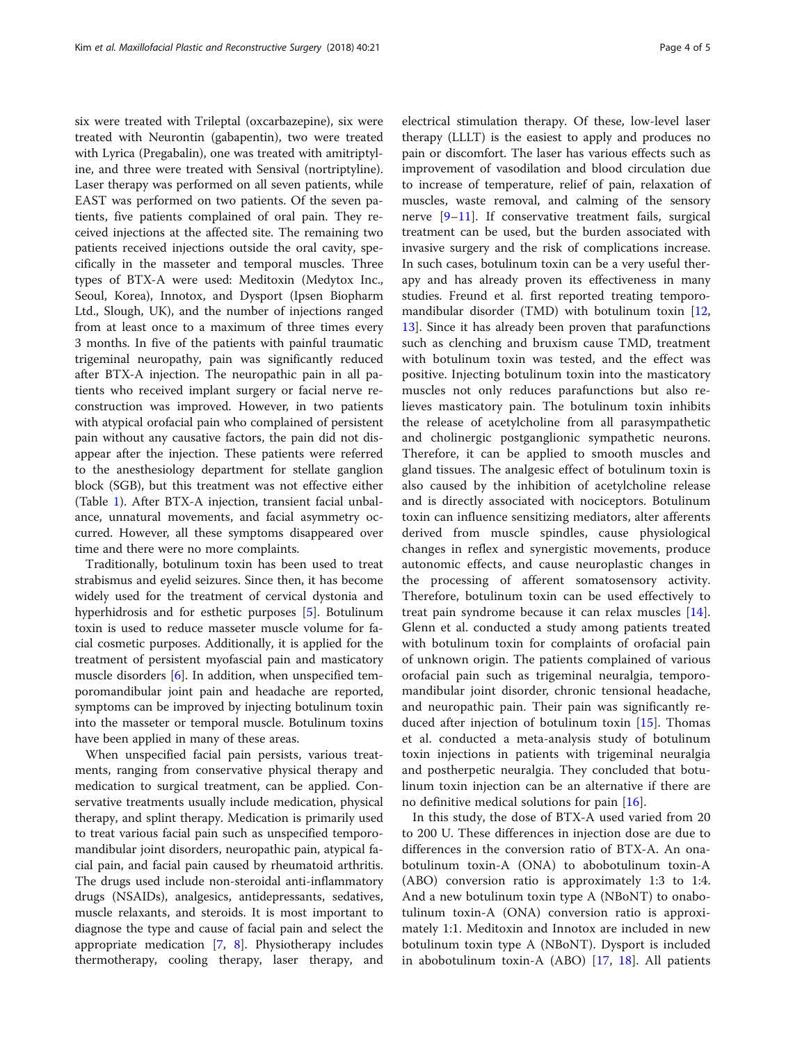six were treated with Trileptal (oxcarbazepine), six were treated with Neurontin (gabapentin), two were treated with Lyrica (Pregabalin), one was treated with amitriptyline, and three were treated with Sensival (nortriptyline). Laser therapy was performed on all seven patients, while EAST was performed on two patients. Of the seven patients, five patients complained of oral pain. They received injections at the affected site. The remaining two patients received injections outside the oral cavity, specifically in the masseter and temporal muscles. Three types of BTX-A were used: Meditoxin (Medytox Inc., Seoul, Korea), Innotox, and Dysport (Ipsen Biopharm Ltd., Slough, UK), and the number of injections ranged from at least once to a maximum of three times every 3 months. In five of the patients with painful traumatic trigeminal neuropathy, pain was significantly reduced after BTX-A injection. The neuropathic pain in all patients who received implant surgery or facial nerve reconstruction was improved. However, in two patients with atypical orofacial pain who complained of persistent pain without any causative factors, the pain did not disappear after the injection. These patients were referred to the anesthesiology department for stellate ganglion block (SGB), but this treatment was not effective either (Table [1\)](#page-2-0). After BTX-A injection, transient facial unbalance, unnatural movements, and facial asymmetry occurred. However, all these symptoms disappeared over time and there were no more complaints.

Traditionally, botulinum toxin has been used to treat strabismus and eyelid seizures. Since then, it has become widely used for the treatment of cervical dystonia and hyperhidrosis and for esthetic purposes [\[5](#page-4-0)]. Botulinum toxin is used to reduce masseter muscle volume for facial cosmetic purposes. Additionally, it is applied for the treatment of persistent myofascial pain and masticatory muscle disorders [\[6](#page-4-0)]. In addition, when unspecified temporomandibular joint pain and headache are reported, symptoms can be improved by injecting botulinum toxin into the masseter or temporal muscle. Botulinum toxins have been applied in many of these areas.

When unspecified facial pain persists, various treatments, ranging from conservative physical therapy and medication to surgical treatment, can be applied. Conservative treatments usually include medication, physical therapy, and splint therapy. Medication is primarily used to treat various facial pain such as unspecified temporomandibular joint disorders, neuropathic pain, atypical facial pain, and facial pain caused by rheumatoid arthritis. The drugs used include non-steroidal anti-inflammatory drugs (NSAIDs), analgesics, antidepressants, sedatives, muscle relaxants, and steroids. It is most important to diagnose the type and cause of facial pain and select the appropriate medication [\[7](#page-4-0), [8](#page-4-0)]. Physiotherapy includes thermotherapy, cooling therapy, laser therapy, and

electrical stimulation therapy. Of these, low-level laser therapy (LLLT) is the easiest to apply and produces no pain or discomfort. The laser has various effects such as improvement of vasodilation and blood circulation due to increase of temperature, relief of pain, relaxation of muscles, waste removal, and calming of the sensory nerve [\[9](#page-4-0)–[11](#page-4-0)]. If conservative treatment fails, surgical treatment can be used, but the burden associated with invasive surgery and the risk of complications increase. In such cases, botulinum toxin can be a very useful therapy and has already proven its effectiveness in many studies. Freund et al. first reported treating temporo-mandibular disorder (TMD) with botulinum toxin [[12](#page-4-0), [13\]](#page-4-0). Since it has already been proven that parafunctions such as clenching and bruxism cause TMD, treatment with botulinum toxin was tested, and the effect was positive. Injecting botulinum toxin into the masticatory muscles not only reduces parafunctions but also relieves masticatory pain. The botulinum toxin inhibits the release of acetylcholine from all parasympathetic and cholinergic postganglionic sympathetic neurons. Therefore, it can be applied to smooth muscles and gland tissues. The analgesic effect of botulinum toxin is also caused by the inhibition of acetylcholine release and is directly associated with nociceptors. Botulinum toxin can influence sensitizing mediators, alter afferents derived from muscle spindles, cause physiological changes in reflex and synergistic movements, produce autonomic effects, and cause neuroplastic changes in the processing of afferent somatosensory activity. Therefore, botulinum toxin can be used effectively to treat pain syndrome because it can relax muscles [\[14](#page-4-0)]. Glenn et al. conducted a study among patients treated with botulinum toxin for complaints of orofacial pain of unknown origin. The patients complained of various orofacial pain such as trigeminal neuralgia, temporomandibular joint disorder, chronic tensional headache, and neuropathic pain. Their pain was significantly reduced after injection of botulinum toxin [\[15](#page-4-0)]. Thomas et al. conducted a meta-analysis study of botulinum toxin injections in patients with trigeminal neuralgia and postherpetic neuralgia. They concluded that botulinum toxin injection can be an alternative if there are no definitive medical solutions for pain  $[16]$  $[16]$ .

In this study, the dose of BTX-A used varied from 20 to 200 U. These differences in injection dose are due to differences in the conversion ratio of BTX-A. An onabotulinum toxin-A (ONA) to abobotulinum toxin-A (ABO) conversion ratio is approximately 1:3 to 1:4. And a new botulinum toxin type A (NBoNT) to onabotulinum toxin-A (ONA) conversion ratio is approximately 1:1. Meditoxin and Innotox are included in new botulinum toxin type A (NBoNT). Dysport is included in abobotulinum toxin-A (ABO) [[17](#page-4-0), [18\]](#page-4-0). All patients